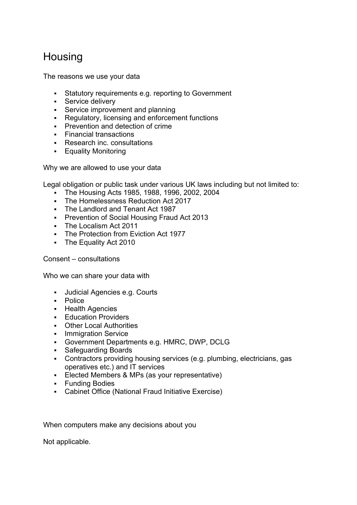## **Housing**

The reasons we use your data

- Statutory requirements e.g. reporting to Government
- **Service delivery**
- **Service improvement and planning**
- Regulatory, licensing and enforcement functions
- **Prevention and detection of crime**
- Financial transactions
- Research inc. consultations
- **Equality Monitoring**

Why we are allowed to use your data

Legal obligation or public task under various UK laws including but not limited to:

- The Housing Acts 1985, 1988, 1996, 2002, 2004
- The Homelessness Reduction Act 2017
- The Landlord and Tenant Act 1987
- **Prevention of Social Housing Fraud Act 2013**
- The Localism Act 2011
- **The Protection from Eviction Act 1977**
- The Equality Act 2010

## Consent – consultations

Who we can share your data with

- Judicial Agencies e.g. Courts
- Police
- **Health Agencies**
- **Education Providers**
- Other Local Authorities<br>• Immigration Service
- Immigration Service
- Government Departments e.g. HMRC, DWP, DCLG
- **Safeguarding Boards**
- Contractors providing housing services (e.g. plumbing, electricians, gas operatives etc.) and IT services
- Elected Members & MPs (as your representative)
- **Funding Bodies**
- Cabinet Office (National Fraud Initiative Exercise)

When computers make any decisions about you

Not applicable.